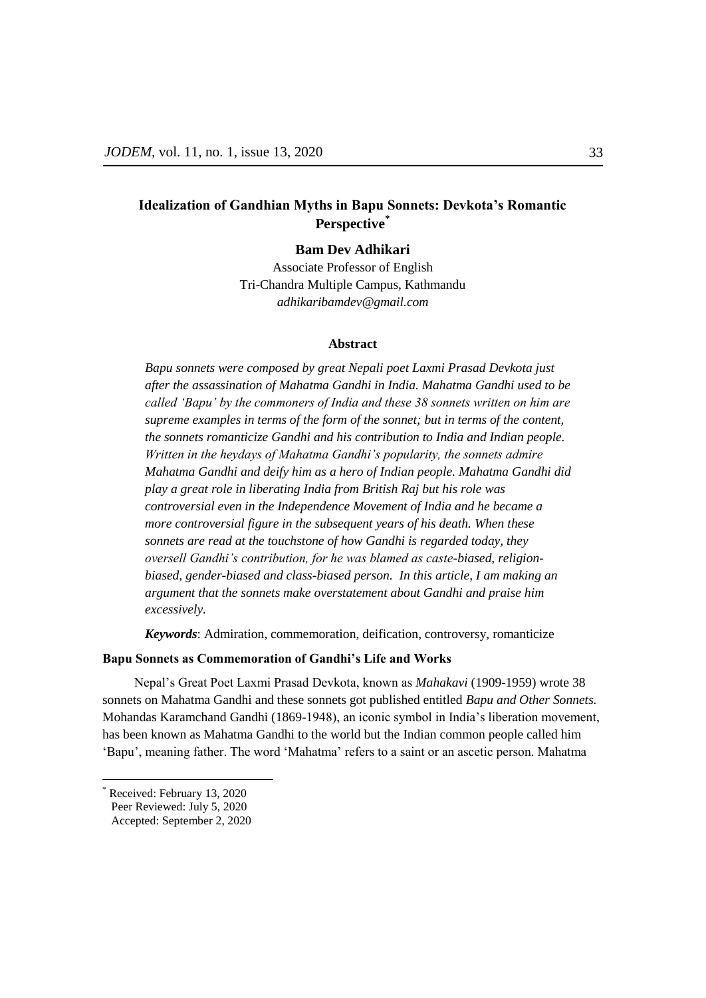# **Idealization of Gandhian Myths in Bapu Sonnets: Devkota's Romantic Perspective\***

**Bam Dev Adhikari**

Associate Professor of English Tri-Chandra Multiple Campus, Kathmandu *adhikaribamdev@gmail.com*

### **Abstract**

*Bapu sonnets were composed by great Nepali poet Laxmi Prasad Devkota just after the assassination of Mahatma Gandhi in India. Mahatma Gandhi used to be called "Bapu" by the commoners of India and these 38 sonnets written on him are supreme examples in terms of the form of the sonnet; but in terms of the content, the sonnets romanticize Gandhi and his contribution to India and Indian people. Written in the heydays of Mahatma Gandhi"s popularity, the sonnets admire Mahatma Gandhi and deify him as a hero of Indian people. Mahatma Gandhi did play a great role in liberating India from British Raj but his role was controversial even in the Independence Movement of India and he became a more controversial figure in the subsequent years of his death. When these sonnets are read at the touchstone of how Gandhi is regarded today, they oversell Gandhi"s contribution, for he was blamed as caste-biased, religionbiased, gender-biased and class-biased person. In this article, I am making an argument that the sonnets make overstatement about Gandhi and praise him excessively.* 

*Keywords*: Admiration, commemoration, deification, controversy, romanticize

### **Bapu Sonnets as Commemoration of Gandhi's Life and Works**

Nepal's Great Poet Laxmi Prasad Devkota, known as *Mahakavi* (1909-1959) wrote 38 sonnets on Mahatma Gandhi and these sonnets got published entitled *Bapu and Other Sonnets.* Mohandas Karamchand Gandhi (1869-1948), an iconic symbol in India's liberation movement, has been known as Mahatma Gandhi to the world but the Indian common people called him ‗Bapu', meaning father. The word ‗Mahatma' refers to a saint or an ascetic person. Mahatma

 $\overline{a}$ 

Received: February 13, 2020

Peer Reviewed: July 5, 2020

Accepted: September 2, 2020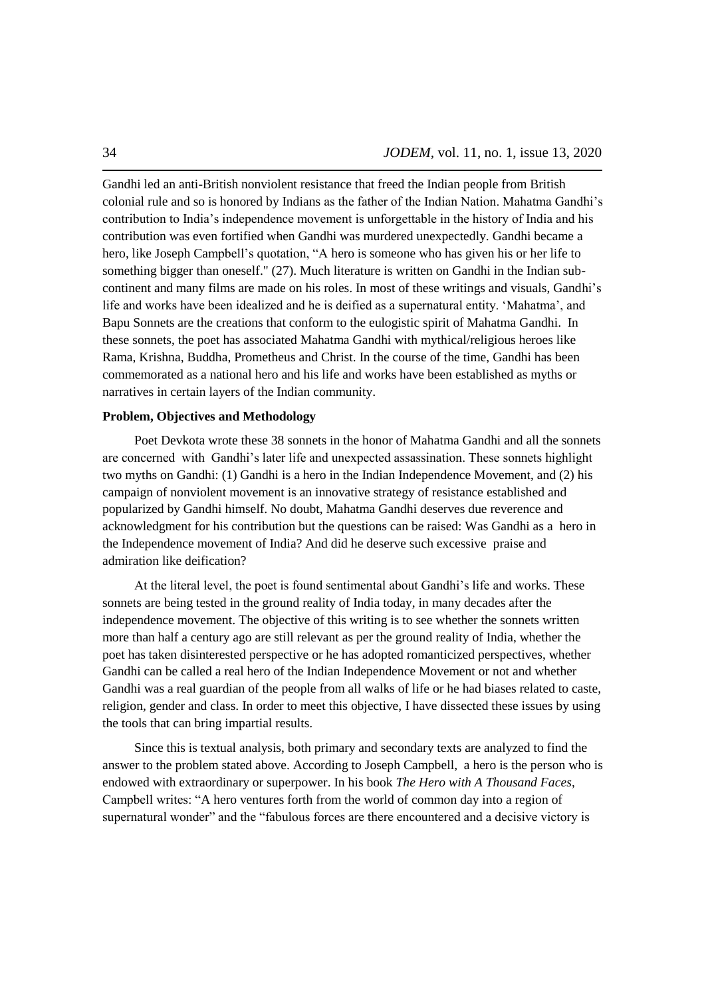Gandhi led an anti-British nonviolent resistance that freed the Indian people from British colonial rule and so is honored by Indians as the father of the Indian Nation. Mahatma Gandhi's contribution to India's independence movement is unforgettable in the history of India and his contribution was even fortified when Gandhi was murdered unexpectedly. Gandhi became a hero, like Joseph Campbell's quotation, "A hero is someone who has given his or her life to something bigger than oneself." (27). Much literature is written on Gandhi in the Indian subcontinent and many films are made on his roles. In most of these writings and visuals, Gandhi's life and works have been idealized and he is deified as a supernatural entity. 'Mahatma', and Bapu Sonnets are the creations that conform to the eulogistic spirit of Mahatma Gandhi. In these sonnets, the poet has associated Mahatma Gandhi with mythical/religious heroes like Rama, Krishna, Buddha, Prometheus and Christ. In the course of the time, Gandhi has been commemorated as a national hero and his life and works have been established as myths or narratives in certain layers of the Indian community.

### **Problem, Objectives and Methodology**

Poet Devkota wrote these 38 sonnets in the honor of Mahatma Gandhi and all the sonnets are concerned with Gandhi's later life and unexpected assassination. These sonnets highlight two myths on Gandhi: (1) Gandhi is a hero in the Indian Independence Movement, and (2) his campaign of nonviolent movement is an innovative strategy of resistance established and popularized by Gandhi himself. No doubt, Mahatma Gandhi deserves due reverence and acknowledgment for his contribution but the questions can be raised: Was Gandhi as a hero in the Independence movement of India? And did he deserve such excessive praise and admiration like deification?

At the literal level, the poet is found sentimental about Gandhi's life and works. These sonnets are being tested in the ground reality of India today, in many decades after the independence movement. The objective of this writing is to see whether the sonnets written more than half a century ago are still relevant as per the ground reality of India, whether the poet has taken disinterested perspective or he has adopted romanticized perspectives, whether Gandhi can be called a real hero of the Indian Independence Movement or not and whether Gandhi was a real guardian of the people from all walks of life or he had biases related to caste, religion, gender and class. In order to meet this objective, I have dissected these issues by using the tools that can bring impartial results.

Since this is textual analysis, both primary and secondary texts are analyzed to find the answer to the problem stated above. According to Joseph Campbell, a hero is the person who is endowed with extraordinary or superpower. In his book *The Hero with A Thousand Faces*, Campbell writes: "A hero ventures forth from the world of common day into a region of supernatural wonder" and the "fabulous forces are there encountered and a decisive victory is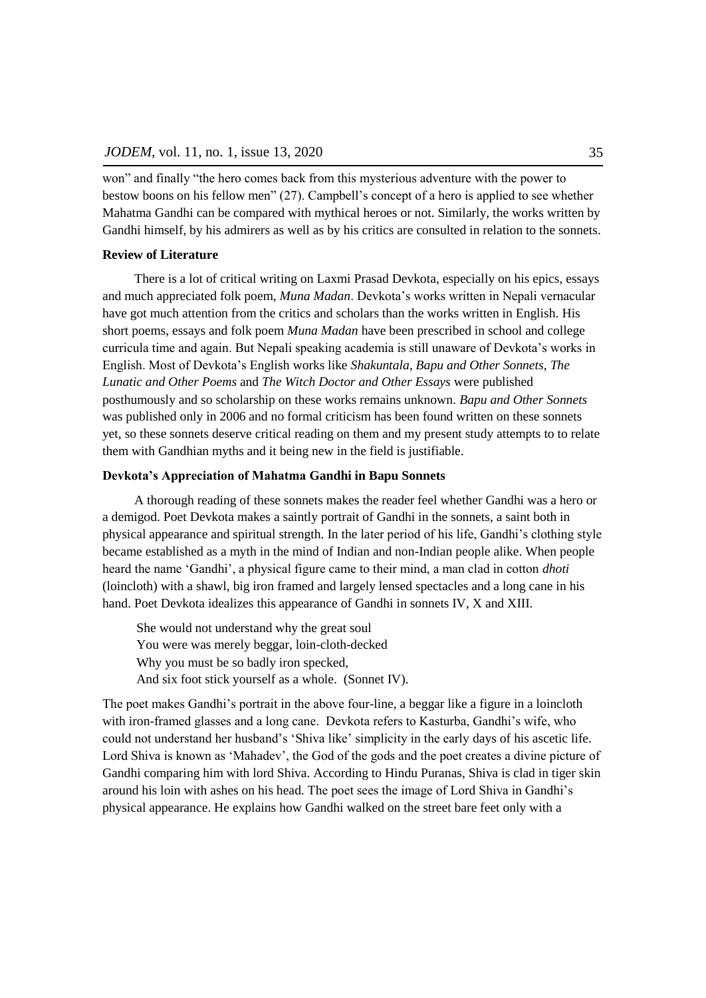won" and finally "the hero comes back from this mysterious adventure with the power to bestow boons on his fellow men"  $(27)$ . Campbell's concept of a hero is applied to see whether Mahatma Gandhi can be compared with mythical heroes or not. Similarly, the works written by Gandhi himself, by his admirers as well as by his critics are consulted in relation to the sonnets.

### **Review of Literature**

There is a lot of critical writing on Laxmi Prasad Devkota, especially on his epics, essays and much appreciated folk poem, *Muna Madan*. Devkota's works written in Nepali vernacular have got much attention from the critics and scholars than the works written in English. His short poems, essays and folk poem *Muna Madan* have been prescribed in school and college curricula time and again. But Nepali speaking academia is still unaware of Devkota's works in English. Most of Devkota's English works like *Shakuntala*, *Bapu and Other Sonnets*, *The Lunatic and Other Poems* and *The Witch Doctor and Other Essays* were published posthumously and so scholarship on these works remains unknown. *Bapu and Other Sonnets* was published only in 2006 and no formal criticism has been found written on these sonnets yet, so these sonnets deserve critical reading on them and my present study attempts to to relate them with Gandhian myths and it being new in the field is justifiable.

#### **Devkota's Appreciation of Mahatma Gandhi in Bapu Sonnets**

A thorough reading of these sonnets makes the reader feel whether Gandhi was a hero or a demigod. Poet Devkota makes a saintly portrait of Gandhi in the sonnets, a saint both in physical appearance and spiritual strength. In the later period of his life, Gandhi's clothing style became established as a myth in the mind of Indian and non-Indian people alike. When people heard the name 'Gandhi', a physical figure came to their mind, a man clad in cotton *dhoti* (loincloth) with a shawl, big iron framed and largely lensed spectacles and a long cane in his hand. Poet Devkota idealizes this appearance of Gandhi in sonnets IV, X and XIII.

She would not understand why the great soul You were was merely beggar, loin-cloth-decked Why you must be so badly iron specked, And six foot stick yourself as a whole. (Sonnet IV).

The poet makes Gandhi's portrait in the above four-line, a beggar like a figure in a loincloth with iron-framed glasses and a long cane. Devkota refers to Kasturba, Gandhi's wife, who could not understand her husband's ‗Shiva like' simplicity in the early days of his ascetic life. Lord Shiva is known as 'Mahadev', the God of the gods and the poet creates a divine picture of Gandhi comparing him with lord Shiva. According to Hindu Puranas, Shiva is clad in tiger skin around his loin with ashes on his head. The poet sees the image of Lord Shiva in Gandhi's physical appearance. He explains how Gandhi walked on the street bare feet only with a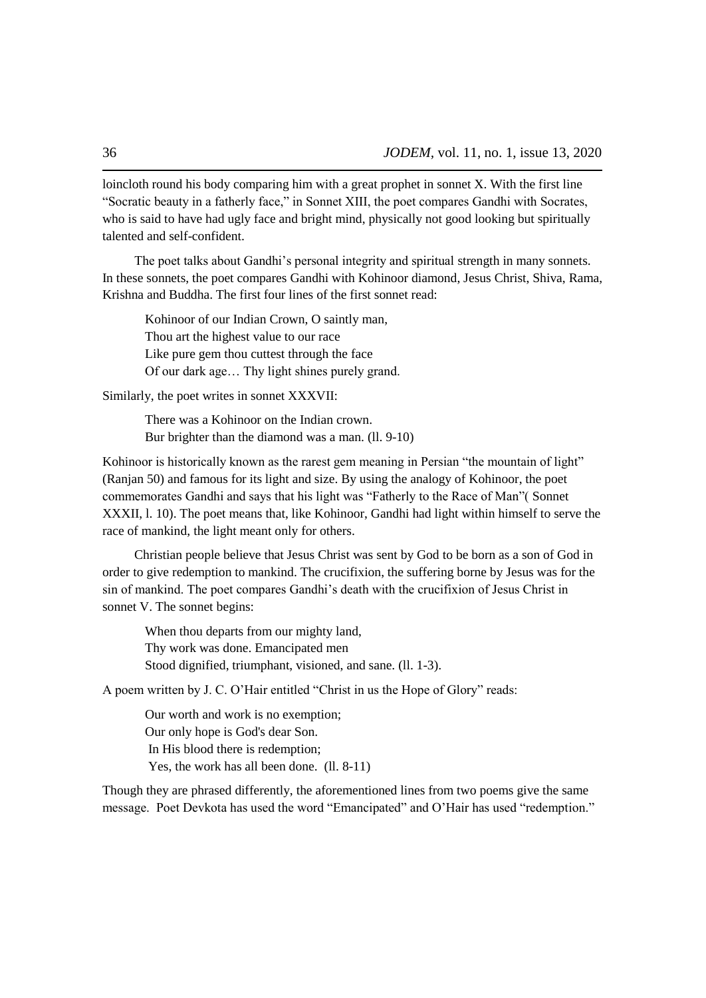loincloth round his body comparing him with a great prophet in sonnet X. With the first line "Socratic beauty in a fatherly face," in Sonnet XIII, the poet compares Gandhi with Socrates, who is said to have had ugly face and bright mind, physically not good looking but spiritually talented and self-confident.

The poet talks about Gandhi's personal integrity and spiritual strength in many sonnets. In these sonnets, the poet compares Gandhi with Kohinoor diamond, Jesus Christ, Shiva, Rama, Krishna and Buddha. The first four lines of the first sonnet read:

Kohinoor of our Indian Crown, O saintly man, Thou art the highest value to our race Like pure gem thou cuttest through the face Of our dark age… Thy light shines purely grand.

Similarly, the poet writes in sonnet XXXVII:

There was a Kohinoor on the Indian crown. Bur brighter than the diamond was a man. (ll. 9-10)

Kohinoor is historically known as the rarest gem meaning in Persian "the mountain of light" (Ranjan 50) and famous for its light and size. By using the analogy of Kohinoor, the poet commemorates Gandhi and says that his light was "Fatherly to the Race of Man" (Sonnet XXXII, l. 10). The poet means that, like Kohinoor, Gandhi had light within himself to serve the race of mankind, the light meant only for others.

Christian people believe that Jesus Christ was sent by God to be born as a son of God in order to give redemption to mankind. The crucifixion, the suffering borne by Jesus was for the sin of mankind. The poet compares Gandhi's death with the crucifixion of Jesus Christ in sonnet V. The sonnet begins:

When thou departs from our mighty land, Thy work was done. Emancipated men Stood dignified, triumphant, visioned, and sane. (ll. 1-3).

A poem written by J. C. O'Hair entitled "Christ in us the Hope of Glory" reads:

Our worth and work is no exemption; Our only hope is God's dear Son. In His blood there is redemption; Yes, the work has all been done. (11.8-11)

Though they are phrased differently, the aforementioned lines from two poems give the same message. Poet Devkota has used the word "Emancipated" and O'Hair has used "redemption."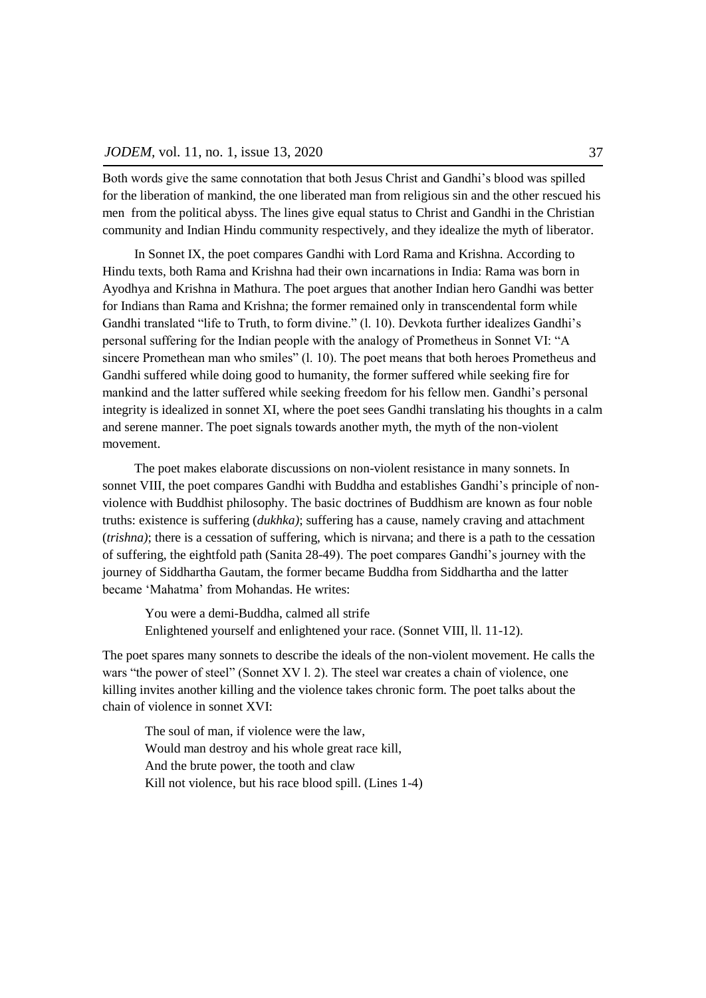Both words give the same connotation that both Jesus Christ and Gandhi's blood was spilled for the liberation of mankind, the one liberated man from religious sin and the other rescued his men from the political abyss. The lines give equal status to Christ and Gandhi in the Christian community and Indian Hindu community respectively, and they idealize the myth of liberator.

In Sonnet IX, the poet compares Gandhi with Lord Rama and Krishna. According to Hindu texts, both Rama and Krishna had their own incarnations in India: Rama was born in Ayodhya and Krishna in Mathura. The poet argues that another Indian hero Gandhi was better for Indians than Rama and Krishna; the former remained only in transcendental form while Gandhi translated "life to Truth, to form divine." (l. 10). Devkota further idealizes Gandhi's personal suffering for the Indian people with the analogy of Prometheus in Sonnet VI: "A sincere Promethean man who smiles" (l. 10). The poet means that both heroes Prometheus and Gandhi suffered while doing good to humanity, the former suffered while seeking fire for mankind and the latter suffered while seeking freedom for his fellow men. Gandhi's personal integrity is idealized in sonnet XI, where the poet sees Gandhi translating his thoughts in a calm and serene manner. The poet signals towards another myth, the myth of the non-violent movement.

The poet makes elaborate discussions on non-violent resistance in many sonnets. In sonnet VIII, the poet compares Gandhi with Buddha and establishes Gandhi's principle of nonviolence with Buddhist philosophy. The basic doctrines of Buddhism are known as four noble truths: existence is suffering (*dukhka)*; suffering has a cause, namely craving and attachment (*trishna)*; there is a cessation of suffering, which is nirvana; and there is a path to the cessation of suffering, the eightfold path (Sanita 28-49). The poet compares Gandhi's journey with the journey of Siddhartha Gautam, the former became Buddha from Siddhartha and the latter became 'Mahatma' from Mohandas. He writes:

You were a demi-Buddha, calmed all strife Enlightened yourself and enlightened your race. (Sonnet VIII, ll. 11-12).

The poet spares many sonnets to describe the ideals of the non-violent movement. He calls the wars "the power of steel" (Sonnet XV l. 2). The steel war creates a chain of violence, one killing invites another killing and the violence takes chronic form. The poet talks about the chain of violence in sonnet XVI:

The soul of man, if violence were the law, Would man destroy and his whole great race kill, And the brute power, the tooth and claw Kill not violence, but his race blood spill. (Lines 1-4)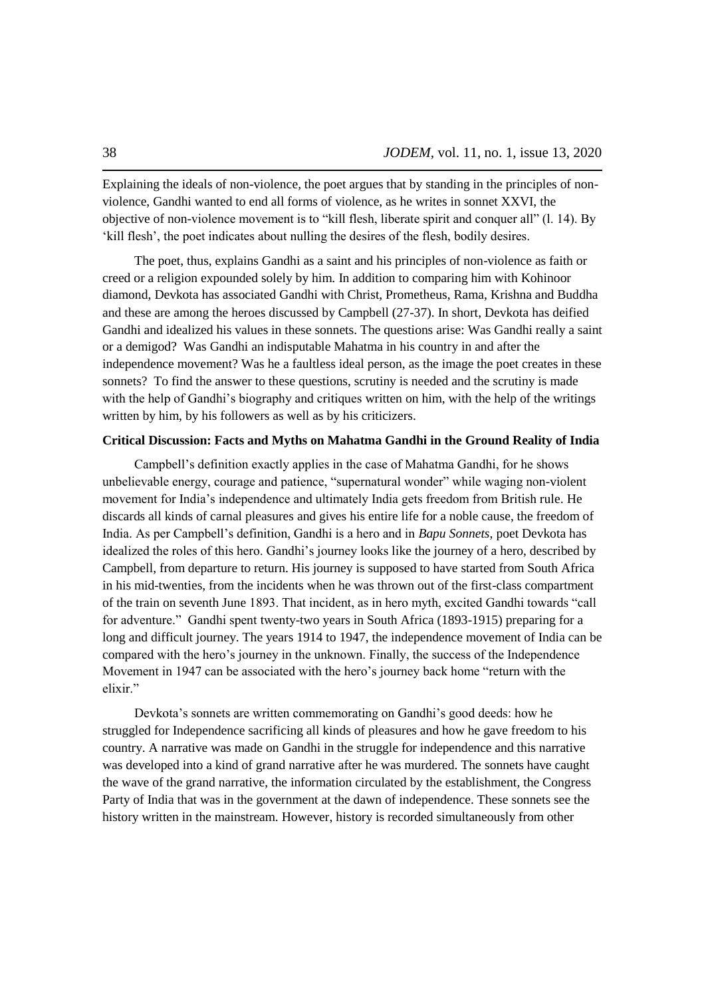Explaining the ideals of non-violence, the poet argues that by standing in the principles of nonviolence, Gandhi wanted to end all forms of violence, as he writes in sonnet XXVI, the objective of non-violence movement is to "kill flesh, liberate spirit and conquer all"  $(1, 14)$ . By ‗kill flesh', the poet indicates about nulling the desires of the flesh, bodily desires.

The poet, thus, explains Gandhi as a saint and his principles of non-violence as faith or creed or a religion expounded solely by him. In addition to comparing him with Kohinoor diamond, Devkota has associated Gandhi with Christ, Prometheus, Rama, Krishna and Buddha and these are among the heroes discussed by Campbell (27-37). In short, Devkota has deified Gandhi and idealized his values in these sonnets. The questions arise: Was Gandhi really a saint or a demigod? Was Gandhi an indisputable Mahatma in his country in and after the independence movement? Was he a faultless ideal person, as the image the poet creates in these sonnets? To find the answer to these questions, scrutiny is needed and the scrutiny is made with the help of Gandhi's biography and critiques written on him, with the help of the writings written by him, by his followers as well as by his criticizers.

## **Critical Discussion: Facts and Myths on Mahatma Gandhi in the Ground Reality of India**

Campbell's definition exactly applies in the case of Mahatma Gandhi, for he shows unbelievable energy, courage and patience, "supernatural wonder" while waging non-violent movement for India's independence and ultimately India gets freedom from British rule. He discards all kinds of carnal pleasures and gives his entire life for a noble cause, the freedom of India. As per Campbell's definition, Gandhi is a hero and in *Bapu Sonnets*, poet Devkota has idealized the roles of this hero. Gandhi's journey looks like the journey of a hero, described by Campbell, from departure to return. His journey is supposed to have started from South Africa in his mid-twenties, from the incidents when he was thrown out of the first-class compartment of the train on seventh June 1893. That incident, as in hero myth, excited Gandhi towards "call for adventure." Gandhi spent twenty-two years in South Africa (1893-1915) preparing for a long and difficult journey. The years 1914 to 1947, the independence movement of India can be compared with the hero's journey in the unknown. Finally, the success of the Independence Movement in 1947 can be associated with the hero's journey back home "return with the elixir."

Devkota's sonnets are written commemorating on Gandhi's good deeds: how he struggled for Independence sacrificing all kinds of pleasures and how he gave freedom to his country. A narrative was made on Gandhi in the struggle for independence and this narrative was developed into a kind of grand narrative after he was murdered. The sonnets have caught the wave of the grand narrative, the information circulated by the establishment, the Congress Party of India that was in the government at the dawn of independence. These sonnets see the history written in the mainstream. However, history is recorded simultaneously from other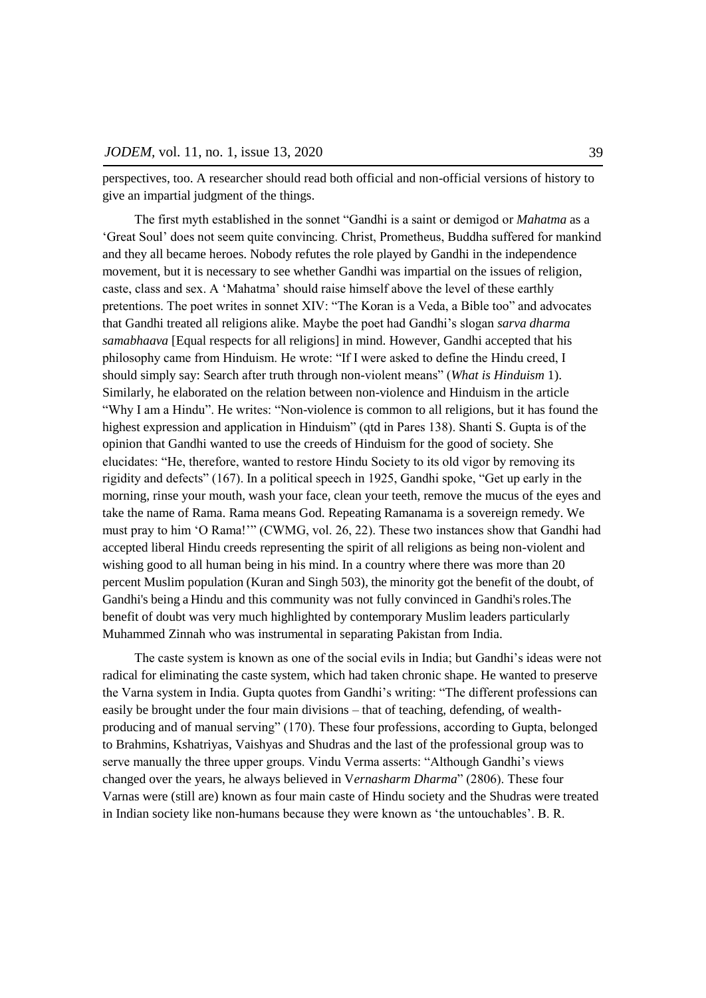perspectives, too. A researcher should read both official and non-official versions of history to give an impartial judgment of the things.

The first myth established in the sonnet "Gandhi is a saint or demigod or *Mahatma* as a ‗Great Soul' does not seem quite convincing. Christ, Prometheus, Buddha suffered for mankind and they all became heroes. Nobody refutes the role played by Gandhi in the independence movement, but it is necessary to see whether Gandhi was impartial on the issues of religion, caste, class and sex. A ‗Mahatma' should raise himself above the level of these earthly pretentions. The poet writes in sonnet XIV: "The Koran is a Veda, a Bible too" and advocates that Gandhi treated all religions alike. Maybe the poet had Gandhi's slogan *sarva dharma samabhaava* [Equal respects for all religions] in mind. However, Gandhi accepted that his philosophy came from Hinduism. He wrote: "If I were asked to define the Hindu creed, I should simply say: Search after truth through non-violent means" (*What is Hinduism* 1). Similarly, he elaborated on the relation between non-violence and Hinduism in the article "Why I am a Hindu". He writes: "Non-violence is common to all religions, but it has found the highest expression and application in Hinduism" (qtd in Pares 138). Shanti S. Gupta is of the opinion that Gandhi wanted to use the creeds of Hinduism for the good of society. She elucidates: ―He, therefore, wanted to restore Hindu Society to its old vigor by removing its rigidity and defects"  $(167)$ . In a political speech in 1925, Gandhi spoke, "Get up early in the morning, rinse your mouth, wash your face, clean your teeth, remove the mucus of the eyes and take the name of Rama. Rama means God. Repeating Ramanama is a sovereign remedy. We must pray to him 'O Rama!'" (CWMG, vol. 26, 22). These two instances show that Gandhi had accepted liberal Hindu creeds representing the spirit of all religions as being non-violent and wishing good to all human being in his mind. In a country where there was more than 20 percent Muslim population (Kuran and Singh 503), the minority got the benefit of the doubt, of Gandhi's being a Hindu and this community was not fully convinced in Gandhi's roles. The benefit of doubt was very much highlighted by contemporary Muslim leaders particularly Muhammed Zinnah who was instrumental in separating Pakistan from India.

The caste system is known as one of the social evils in India; but Gandhi's ideas were not radical for eliminating the caste system, which had taken chronic shape. He wanted to preserve the Varna system in India. Gupta quotes from Gandhi's writing: "The different professions can easily be brought under the four main divisions – that of teaching, defending, of wealthproducing and of manual serving" (170). These four professions, according to Gupta, belonged to Brahmins, Kshatriyas, Vaishyas and Shudras and the last of the professional group was to serve manually the three upper groups. Vindu Verma asserts: "Although Gandhi's views changed over the years, he always believed in V*ernasharm Dharma*‖ (2806). These four Varnas were (still are) known as four main caste of Hindu society and the Shudras were treated in Indian society like non-humans because they were known as 'the untouchables'. B. R.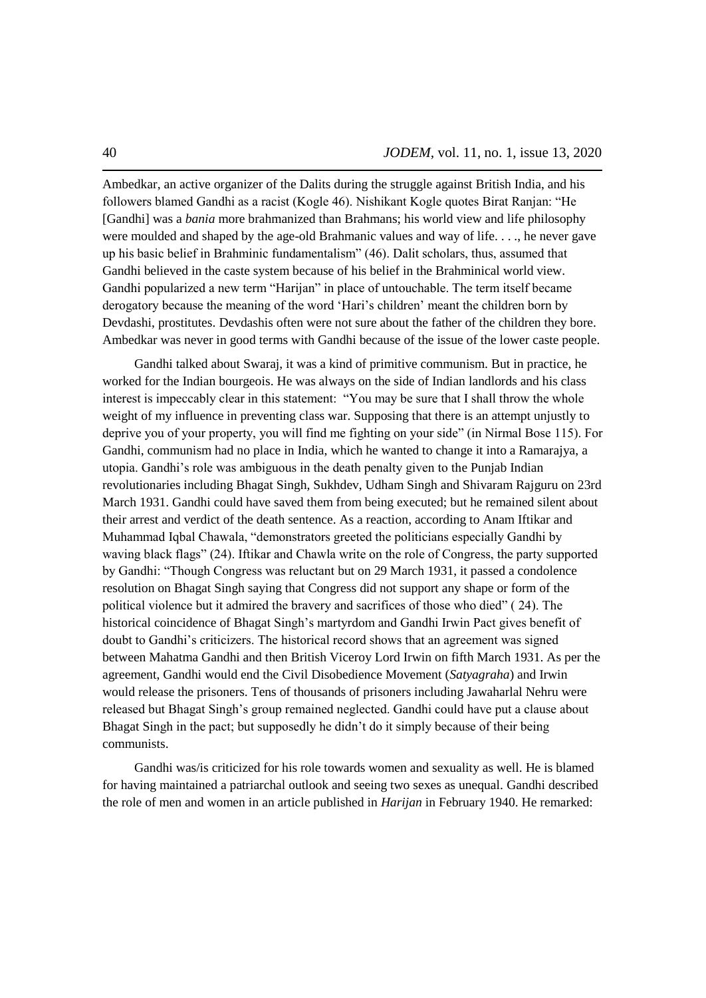Ambedkar, an active organizer of the Dalits during the struggle against British India, and his followers blamed Gandhi as a racist (Kogle 46). Nishikant Kogle quotes Birat Ranjan: "He [Gandhi] was a *bania* more brahmanized than Brahmans; his world view and life philosophy were moulded and shaped by the age-old Brahmanic values and way of life. . . ., he never gave up his basic belief in Brahminic fundamentalism" (46). Dalit scholars, thus, assumed that Gandhi believed in the caste system because of his belief in the Brahminical world view. Gandhi popularized a new term "Harijan" in place of untouchable. The term itself became derogatory because the meaning of the word 'Hari's children' meant the children born by Devdashi, prostitutes. Devdashis often were not sure about the father of the children they bore. Ambedkar was never in good terms with Gandhi because of the issue of the lower caste people.

Gandhi talked about Swaraj, it was a kind of primitive communism. But in practice, he worked for the Indian bourgeois. He was always on the side of Indian landlords and his class interest is impeccably clear in this statement: "You may be sure that I shall throw the whole weight of my influence in preventing class war. Supposing that there is an attempt unjustly to deprive you of your property, you will find me fighting on your side" (in Nirmal Bose 115). For Gandhi, communism had no place in India, which he wanted to change it into a Ramarajya, a utopia. Gandhi's role was ambiguous in the death penalty given to the Punjab Indian revolutionaries including Bhagat Singh, Sukhdev, Udham Singh and Shivaram Rajguru on 23rd March 1931. Gandhi could have saved them from being executed; but he remained silent about their arrest and verdict of the death sentence. As a reaction, according to Anam Iftikar and Muhammad Iqbal Chawala, "demonstrators greeted the politicians especially Gandhi by waving black flags" (24). Iftikar and Chawla write on the role of Congress, the party supported by Gandhi: "Though Congress was reluctant but on 29 March 1931, it passed a condolence resolution on Bhagat Singh saying that Congress did not support any shape or form of the political violence but it admired the bravery and sacrifices of those who died"  $(24)$ . The historical coincidence of Bhagat Singh's martyrdom and Gandhi Irwin Pact gives benefit of doubt to Gandhi's criticizers. The historical record shows that an agreement was signed between Mahatma Gandhi and then British Viceroy Lord Irwin on fifth March 1931. As per the agreement, Gandhi would end the Civil Disobedience Movement (*Satyagraha*) and Irwin would release the prisoners. Tens of thousands of prisoners including Jawaharlal Nehru were released but Bhagat Singh's group remained neglected. Gandhi could have put a clause about Bhagat Singh in the pact; but supposedly he didn't do it simply because of their being communists.

Gandhi was/is criticized for his role towards women and sexuality as well. He is blamed for having maintained a patriarchal outlook and seeing two sexes as unequal. Gandhi described the role of men and women in an article published in *Harijan* in February 1940. He remarked: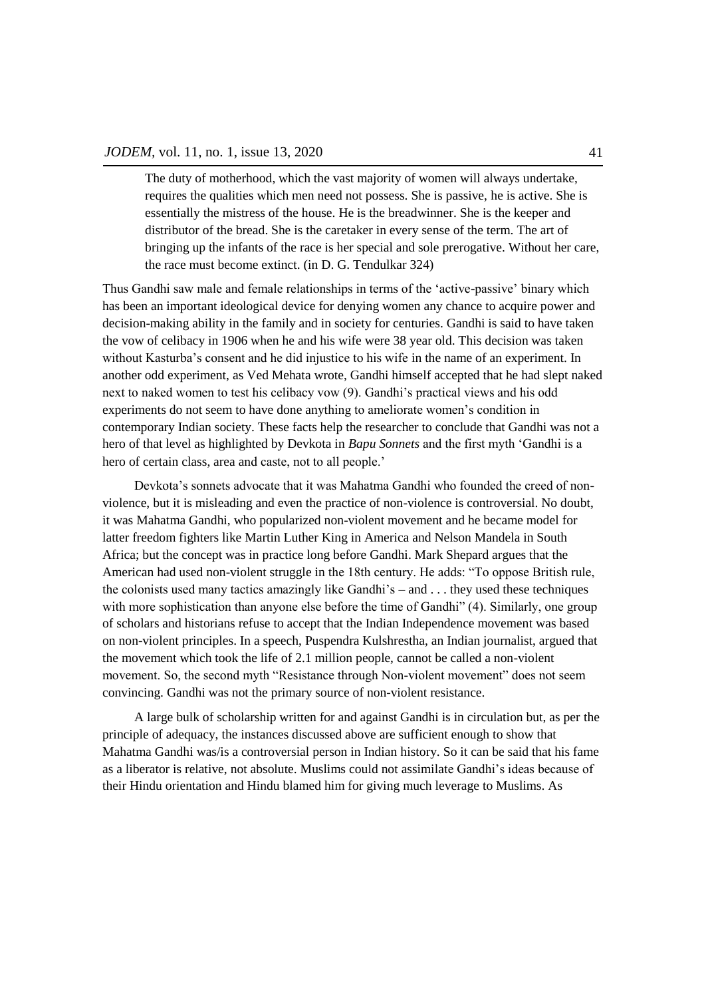The duty of motherhood, which the vast majority of women will always undertake, requires the qualities which men need not possess. She is passive, he is active. She is essentially the mistress of the house. He is the breadwinner. She is the keeper and distributor of the bread. She is the caretaker in every sense of the term. The art of bringing up the infants of the race is her special and sole prerogative. Without her care, the race must become extinct. (in D. G. Tendulkar 324)

Thus Gandhi saw male and female relationships in terms of the ‗active-passive' binary which has been an important ideological device for denying women any chance to acquire power and decision-making ability in the family and in society for centuries. Gandhi is said to have taken the vow of celibacy in 1906 when he and his wife were 38 year old. This decision was taken without Kasturba's consent and he did injustice to his wife in the name of an experiment. In another odd experiment, as Ved Mehata wrote, Gandhi himself accepted that he had slept naked next to naked women to test his celibacy vow (9). Gandhi's practical views and his odd experiments do not seem to have done anything to ameliorate women's condition in contemporary Indian society. These facts help the researcher to conclude that Gandhi was not a hero of that level as highlighted by Devkota in *Bapu Sonnets* and the first myth 'Gandhi is a hero of certain class, area and caste, not to all people.'

Devkota's sonnets advocate that it was Mahatma Gandhi who founded the creed of nonviolence, but it is misleading and even the practice of non-violence is controversial. No doubt, it was Mahatma Gandhi, who popularized non-violent movement and he became model for latter freedom fighters like Martin Luther King in America and Nelson Mandela in South Africa; but the concept was in practice long before Gandhi. Mark Shepard argues that the American had used non-violent struggle in the 18th century. He adds: "To oppose British rule, the colonists used many tactics amazingly like Gandhi's – and . . . they used these techniques with more sophistication than anyone else before the time of Gandhi" (4). Similarly, one group of scholars and historians refuse to accept that the Indian Independence movement was based on non-violent principles. In a speech, Puspendra Kulshrestha, an Indian journalist, argued that the movement which took the life of 2.1 million people, cannot be called a non-violent movement. So, the second myth "Resistance through Non-violent movement" does not seem convincing. Gandhi was not the primary source of non-violent resistance.

A large bulk of scholarship written for and against Gandhi is in circulation but, as per the principle of adequacy, the instances discussed above are sufficient enough to show that Mahatma Gandhi was/is a controversial person in Indian history. So it can be said that his fame as a liberator is relative, not absolute. Muslims could not assimilate Gandhi's ideas because of their Hindu orientation and Hindu blamed him for giving much leverage to Muslims. As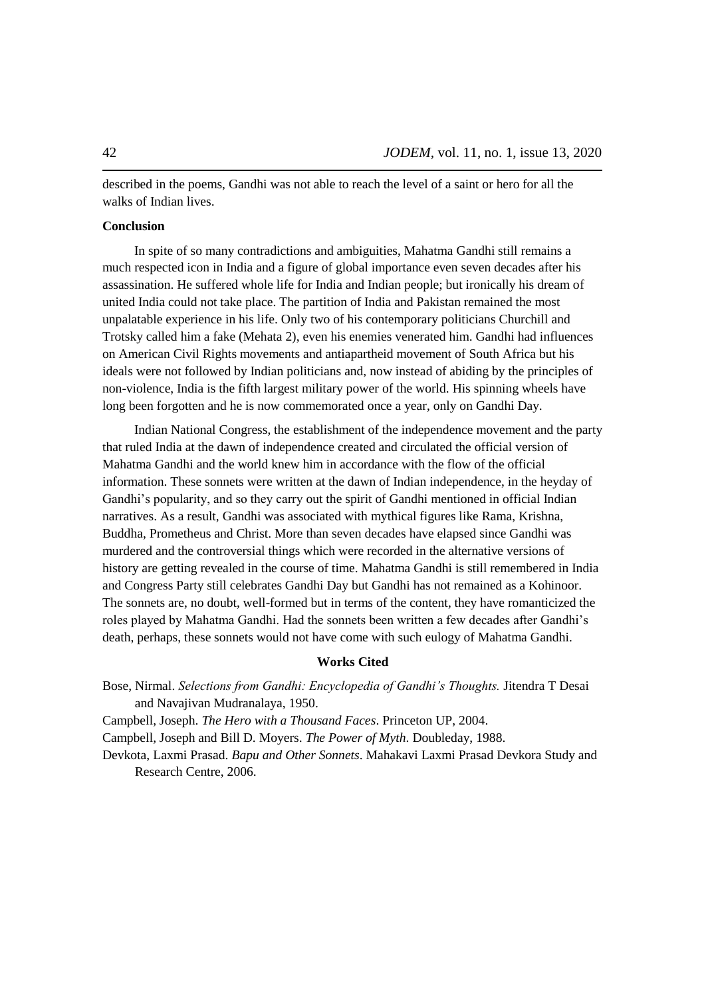described in the poems, Gandhi was not able to reach the level of a saint or hero for all the walks of Indian lives.

# **Conclusion**

In spite of so many contradictions and ambiguities, Mahatma Gandhi still remains a much respected icon in India and a figure of global importance even seven decades after his assassination. He suffered whole life for India and Indian people; but ironically his dream of united India could not take place. The partition of India and Pakistan remained the most unpalatable experience in his life. Only two of his contemporary politicians Churchill and Trotsky called him a fake (Mehata 2), even his enemies venerated him. Gandhi had influences on American Civil Rights movements and antiapartheid movement of South Africa but his ideals were not followed by Indian politicians and, now instead of abiding by the principles of non-violence, India is the fifth largest military power of the world. His spinning wheels have long been forgotten and he is now commemorated once a year, only on Gandhi Day.

Indian National Congress, the establishment of the independence movement and the party that ruled India at the dawn of independence created and circulated the official version of Mahatma Gandhi and the world knew him in accordance with the flow of the official information. These sonnets were written at the dawn of Indian independence, in the heyday of Gandhi's popularity, and so they carry out the spirit of Gandhi mentioned in official Indian narratives. As a result, Gandhi was associated with mythical figures like Rama, Krishna, Buddha, Prometheus and Christ. More than seven decades have elapsed since Gandhi was murdered and the controversial things which were recorded in the alternative versions of history are getting revealed in the course of time. Mahatma Gandhi is still remembered in India and Congress Party still celebrates Gandhi Day but Gandhi has not remained as a Kohinoor. The sonnets are, no doubt, well-formed but in terms of the content, they have romanticized the roles played by Mahatma Gandhi. Had the sonnets been written a few decades after Gandhi's death, perhaps, these sonnets would not have come with such eulogy of Mahatma Gandhi.

### **Works Cited**

Bose, Nirmal. *Selections from Gandhi: Encyclopedia of Gandhi"s Thoughts.* Jitendra T Desai and Navajivan Mudranalaya, 1950.

Campbell, Joseph. *The Hero with a Thousand Faces*. Princeton UP, 2004.

Campbell, Joseph and Bill D. Moyers. *The Power of Myth*. Doubleday, 1988.

Devkota, Laxmi Prasad. *Bapu and Other Sonnets*. Mahakavi Laxmi Prasad Devkora Study and Research Centre, 2006.